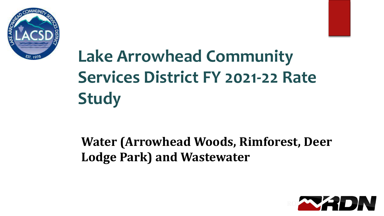



### **Water (Arrowhead Woods, Rimforest, Deer Lodge Park) and Wastewater**

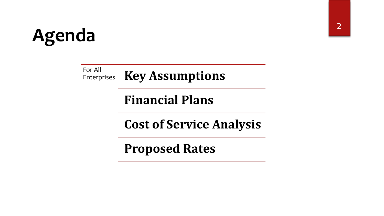# **Agenda**

For All **Key Assumptions** 

**Financial Plans**

**Cost of Service Analysis**

**Proposed Rates**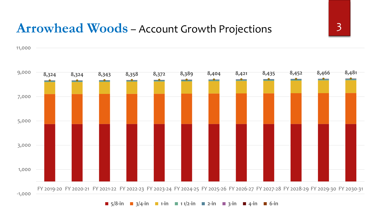#### **Arrowhead Woods** – Account Growth Projections 3

11,000



 $\blacksquare$  5/8-in  $\blacksquare$  3/4-in  $\blacksquare$  1-in  $\blacksquare$  11/2-in  $\blacksquare$  2-in  $\blacksquare$  3-in  $\blacksquare$  4-in  $\blacksquare$  6-in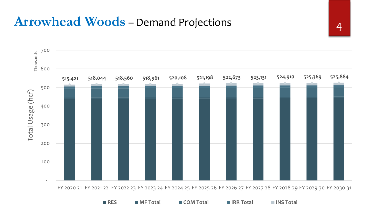## Arrowhead Woods - Demand Projections 14



FY 2020-21 FY 2021-22 FY 2022-23 FY 2023-24 FY 2024-25 FY 2025-26 FY 2026-27 FY 2027-28 FY 2028-29 FY 2029-30 FY 2030-31

**RES MF Total COM Total IRR Total INS Total**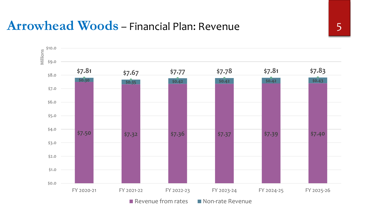#### **Arrowhead Woods** – Financial Plan: Revenue 5

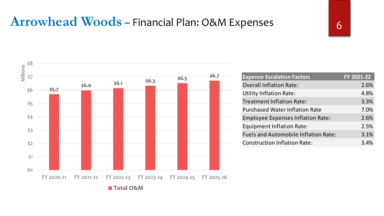## Arrowhead Woods - Financial Plan: O&M Expenses 6

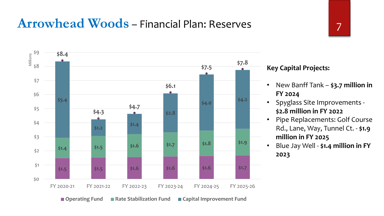#### **Arrowhead Woods** – Financial Plan: Reserves



#### **Key Capital Projects:**

- New Banff Tank **\$3.7 million in FY 2024**
- Spyglass Site Improvements **\$2.8 million in FY 2022**
- Pipe Replacements: Golf Course Rd., Lane, Way, Tunnel Ct. - **\$1.9 million in FY 2025**
- Blue Jay Well **\$1.4 million in FY 2023**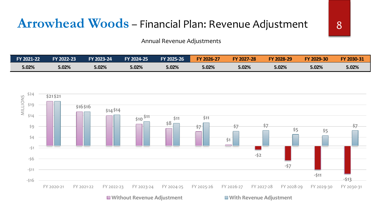#### **Arrowhead Woods** – Financial Plan: Revenue Adjustment 8

Annual Revenue Adjustments

| <b>FY 2021-221</b> | <b>FY 2022-23</b> | FY 2023-24 | FY 2024-25 | <b>FY 2025-26</b> | FY 2026-27 | <b>FY 2027-28</b> | FY 2028-29 | FY 2029-30 | FY 2030-31 |
|--------------------|-------------------|------------|------------|-------------------|------------|-------------------|------------|------------|------------|
| 5.02%              | 5.02%             | 5.02%      | 5.02%      | 5.02%             | 5.02%      | 5.02%             | 5.02%      | 5.02%      | 5.02%      |

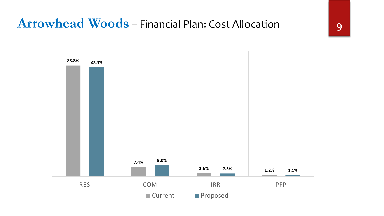### **Arrowhead Woods** – Financial Plan: Cost Allocation 9

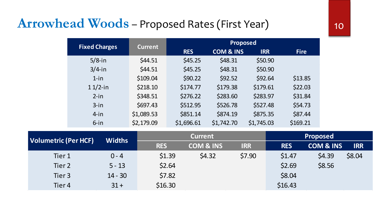### **Arrowhead Woods** - Proposed Rates (First Year) 10

|                             | <b>Fixed Charges</b> | <b>Current</b> |                | <b>Proposed</b>      |                               |                    |
|-----------------------------|----------------------|----------------|----------------|----------------------|-------------------------------|--------------------|
|                             |                      |                | <b>RES</b>     | <b>COM &amp; INS</b> | <b>IRR</b>                    | <b>Fire</b>        |
|                             | $5/8$ -in            | \$44.51        | \$45.25        | \$48.31              | \$50.90                       |                    |
|                             | $3/4$ -in            | \$44.51        | \$45.25        | \$48.31              | \$50.90                       |                    |
|                             | $1$ -in              | \$109.04       | \$90.22        | \$92.52              | \$92.64                       | \$13.85            |
|                             | $11/2$ -in           | \$218.10       | \$174.77       | \$179.38             | \$179.61                      | \$22.03            |
|                             | $2-in$               | \$348.51       | \$276.22       | \$283.60             | \$283.97                      | \$31.84            |
|                             | $3$ -in              | \$697.43       | \$512.95       | \$526.78             | \$527.48                      | \$54.73            |
|                             | $4$ -in              | \$1,089.53     | \$851.14       | \$874.19             | \$875.35                      | \$87.44            |
|                             | $6$ -in              | \$2,179.09     | \$1,696.61     | \$1,742.70           | \$1,745.03                    | \$169.21           |
|                             |                      |                | <b>Current</b> |                      |                               | Proposed           |
| <b>Volumetric (Per HCF)</b> | <b>Widths</b>        | $\blacksquare$ |                | <b>AARA A IRIA</b>   | <b>The Contract of Street</b> | $\blacksquare$<br> |

| <b>Volumetric (Per HCF)</b> | <b>Widths</b> |            | <b>Current</b>       |            |            | <b>Proposed</b>      |            |
|-----------------------------|---------------|------------|----------------------|------------|------------|----------------------|------------|
|                             |               | <b>RES</b> | <b>COM &amp; INS</b> | <b>IRR</b> | <b>RES</b> | <b>COM &amp; INS</b> | <b>IRR</b> |
| Tier 1                      | $0 - 4$       | \$1.39     | \$4.32               | \$7.90     | \$1.47     | \$4.39               | \$8.04     |
| Tier 2                      | $5 - 13$      | \$2.64     |                      |            | \$2.69     | \$8.56               |            |
| Tier 3                      | $14 - 30$     | \$7.82     |                      |            | \$8.04     |                      |            |
| Tier 4                      | $31 +$        | \$16.30    |                      |            | \$16.43    |                      |            |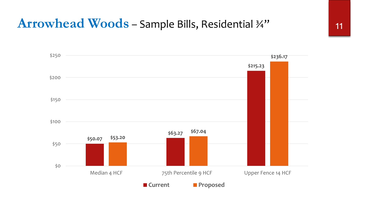#### **Arrowhead Woods** – Sample Bills, Residential ¾" 11

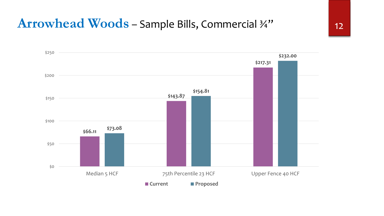#### **Arrowhead Woods** – Sample Bills, Commercial ¾" 12

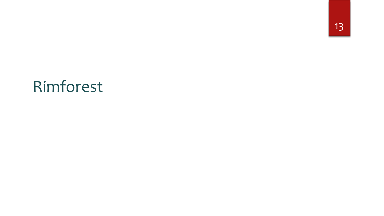13

## Rimforest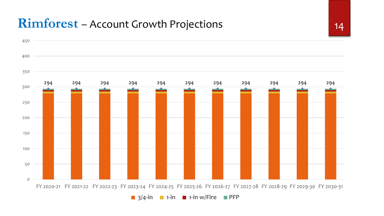#### **Rimforest** – Account Growth Projections 14

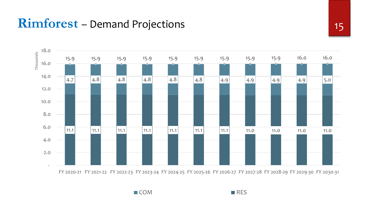#### **Rimforest** – Demand Projections 15



■ COM ■ RES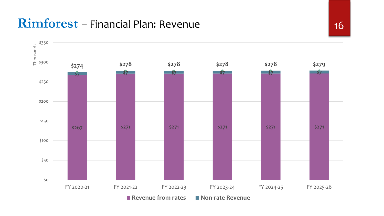#### **Rimforest** – Financial Plan: Revenue 16

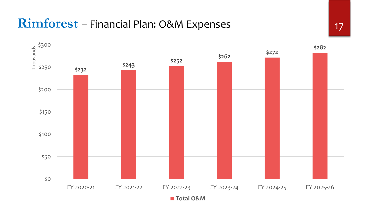#### **Rimforest** – Financial Plan: O&M Expenses 17

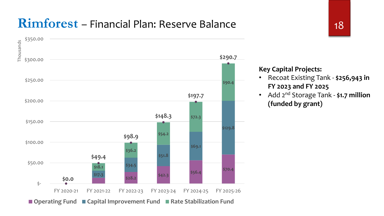#### **Rimforest** – Financial Plan: Reserve Balance 18



#### **Key Capital Projects:**

- Recoat Existing Tank **\$256,943 in FY 2023 and FY 2025**
- Add 2nd Storage Tank **\$1.7 million (funded by grant)**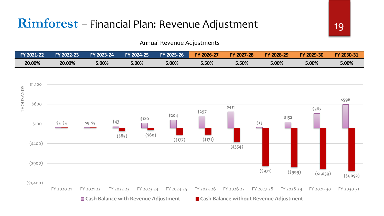#### **Rimforest** – Financial Plan: Revenue Adjustment 19

#### Annual Revenue Adjustments

| FY 2021-22 | <b>FY 2022-23</b> | FY 2023-24 | <b>FY 2024-25</b> | FY 2025-26' | FY 2026-27 | <b>FY 2027-28</b> | FY 2028-29 | 2029-30<br>FY. | FY 2030-31 |
|------------|-------------------|------------|-------------------|-------------|------------|-------------------|------------|----------------|------------|
| 20.00%     | 20.00%            | $5.00\%$   | 5.00%             | 5.00%       | $5.50\%$   | 5.50%             | 5.00%      | 5.00%          | 5.00%      |

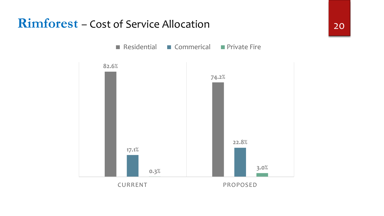#### **Rimforest** – Cost of Service Allocation 20

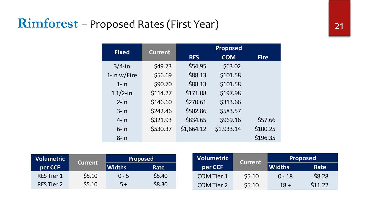### **Rimforest** – Proposed Rates (First Year) 21

|                | <b>Fixed</b>    | <b>Current</b> |            |          | <b>Proposed</b>   |                |               |
|----------------|-----------------|----------------|------------|----------|-------------------|----------------|---------------|
|                |                 |                | <b>RES</b> |          | <b>COM</b>        | <b>Fire</b>    |               |
|                | $3/4$ -in       | \$49.73        |            | \$54.95  | \$63.02           |                |               |
|                | 1-in $w$ /Fire  | \$56.69        |            | \$88.13  | \$101.58          |                |               |
|                | $1$ -in         | \$90.70        |            | \$88.13  | \$101.58          |                |               |
|                | $11/2$ -in      | \$114.27       |            | \$171.08 | \$197.98          |                |               |
|                | $2-in$          | \$146.60       | \$270.61   |          | \$313.66          |                |               |
|                | $3 - in$        | \$242.46       |            | \$502.86 | \$583.57          |                |               |
|                | $4$ -in         | \$321.93       |            | \$834.65 | \$969.16          | \$57.66        |               |
|                | $6$ -in         | \$530.37       | \$1,664.12 |          | \$1,933.14        | \$100.25       |               |
|                | $8 - in$        |                |            |          |                   | \$196.35       |               |
|                |                 |                |            |          |                   |                |               |
|                | <b>Proposed</b> |                |            |          | <b>Volumetric</b> | <b>Current</b> |               |
| <b>Current</b> | . <i>. .</i>    |                |            |          |                   |                | <b>MARCHI</b> |

| <b>Volumetric</b> |        | <b>Proposed</b><br><b>Current</b> |             | Volumetric        | <b>Current</b> | <b>Proposed</b> |         |
|-------------------|--------|-----------------------------------|-------------|-------------------|----------------|-----------------|---------|
| per CCF           |        | <b>Widths</b>                     | <b>Rate</b> | per CCF           |                | <b>Widths</b>   | Rate    |
| <b>RES Tier 1</b> | \$5.10 | $0 - 5$                           | \$5.40      | <b>COM Tier 1</b> | \$5.10         | $0 - 18$        | \$8.28  |
| <b>RES Tier 2</b> | \$5.10 | $5+$                              | \$8.30      | <b>COM Tier 2</b> | \$5.10         | $18 +$          | \$11.22 |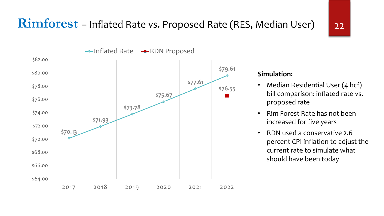

#### **Simulation:**

- Median Residential User (4 hcf) bill comparison: inflated rate vs. proposed rate
- Rim Forest Rate has not been increased for five years
- RDN used a conservative 2.6 percent CPI inflation to adjust the current rate to simulate what should have been today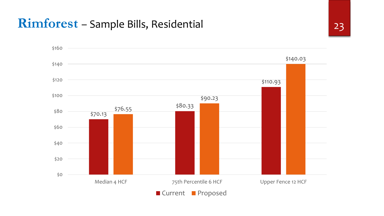#### **Rimforest** – Sample Bills, Residential 23

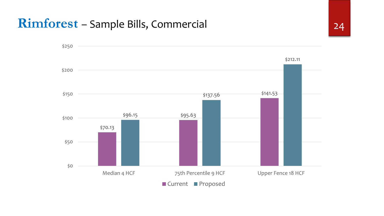#### **Rimforest** – Sample Bills, Commercial 24

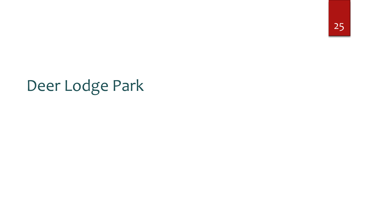25

## Deer Lodge Park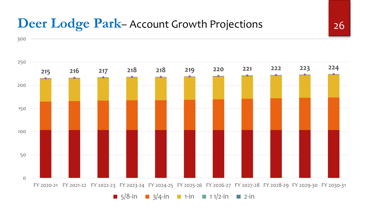#### **Deer Lodge Park–** Account Growth Projections 26



**5/8-in 3/4-in 1-in 1** 1 1/2-in **2-in**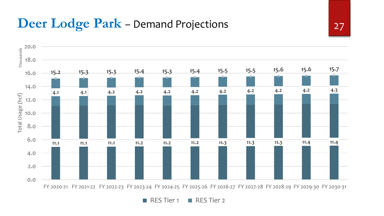#### **Deer Lodge Park** – Demand Projections 27



FY 2020-21 FY 2021-22 FY 2022-23 FY 2023-24 FY 2024-25 FY 2025-26 FY 2026-27 FY 2027-28 FY 2028-29 FY 2029-30 FY 2030-31

RES Tier 1 RES Tier 2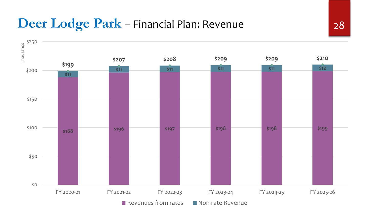#### **Deer Lodge Park** – Financial Plan: Revenue 28

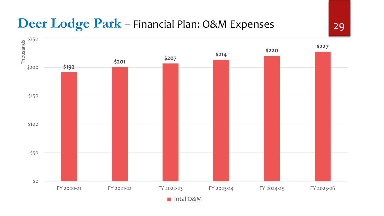#### **Deer Lodge Park** – Financial Plan: O&M Expenses 29

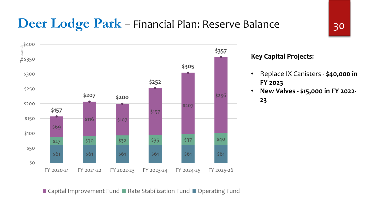#### **Deer Lodge Park** – Financial Plan: Reserve Balance 30



#### **Key Capital Projects:**

- Replace IX Canisters **\$40,000 in FY 2023**
- **New Valves - \$15,000 in FY 2022-**

**23**

■ Capital Improvement Fund ■ Rate Stabilization Fund ■ Operating Fund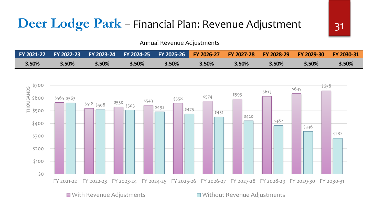#### **Deer Lodge Park** – Financial Plan: Revenue Adjustment 31

Annual Revenue Adjustments

|       |       |       |       | EX 2021-22 EX 2022-23 EX 2023-24 EX 2024-25 EX 2025-26 EX 2026-27 EX 2027-28 EX 2028-29 |       |       |       | <b>EX 2029-30</b> | <b>EY 2030-31</b> |
|-------|-------|-------|-------|-----------------------------------------------------------------------------------------|-------|-------|-------|-------------------|-------------------|
| 3.50% | 3.50% | 3.50% | 3.50% | 3.50%                                                                                   | 3.50% | 3.50% | 3.50% | 3.50%             | 3.50%             |

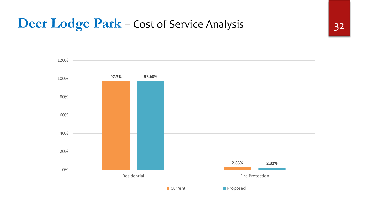### **Deer Lodge Park** – Cost of Service Analysis 32

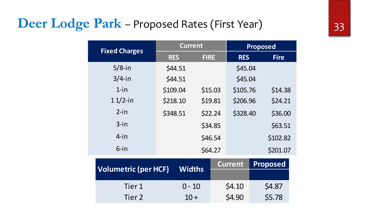### **Deer Lodge Park** – Proposed Rates (First Year) 33

| <b>Fixed Charges</b>        | <b>Current</b> |             |                | <b>Proposed</b> |  |  |
|-----------------------------|----------------|-------------|----------------|-----------------|--|--|
|                             | <b>RES</b>     | <b>FIRE</b> | <b>RES</b>     | <b>Fire</b>     |  |  |
| $5/8$ -in                   | \$44.51        |             | \$45.04        |                 |  |  |
| $3/4$ -in                   | \$44.51        |             | \$45.04        |                 |  |  |
| $1$ -in                     | \$109.04       | \$15.03     | \$105.76       | \$14.38         |  |  |
| $11/2$ -in                  | \$218.10       | \$19.81     | \$206.96       | \$24.21         |  |  |
| $2-in$                      | \$348.51       | \$22.24     | \$328.40       | \$36.00         |  |  |
| $3$ -in                     |                | \$34.85     |                | \$63.51         |  |  |
| $4$ -in                     |                | \$46.54     |                | \$102.82        |  |  |
| $6$ -in                     |                | \$64.27     |                | \$201.07        |  |  |
|                             |                |             | <b>Current</b> | <b>Proposed</b> |  |  |
| <b>Volumetric (per HCF)</b> | <b>Widths</b>  |             |                |                 |  |  |
| Tier 1                      | $0 - 10$       |             | \$4.10         | \$4.87          |  |  |
| Tier 2                      | $10 +$         |             | \$4.90         | \$5.78          |  |  |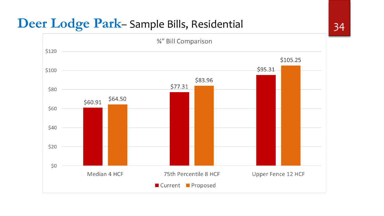### **Deer Lodge Park**– Sample Bills, Residential 34

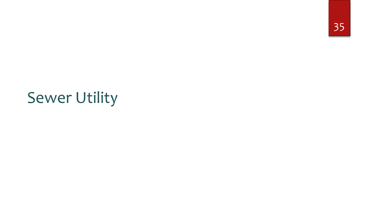## Sewer Utility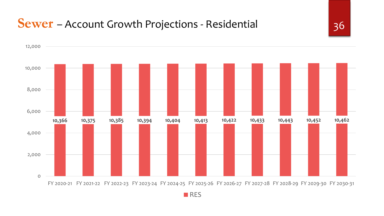#### **Sewer** – Account Growth Projections - Residential 36



RES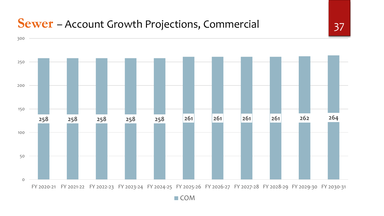#### **Sewer** – Account Growth Projections, Commercial 37



■ COM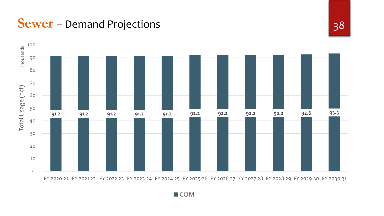**Sewer** – Demand Projections 38



FY 2020-21 FY 2021-22 FY 2022-23 FY 2023-24 FY 2024-25 FY 2025-26 FY 2026-27 FY 2027-28 FY 2028-29 FY 2029-30 FY 2030-31

■ COM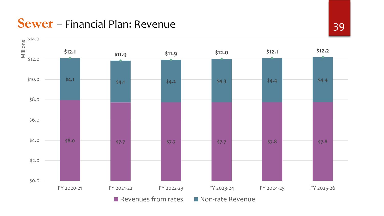**Sewer** – Financial Plan: Revenue 39

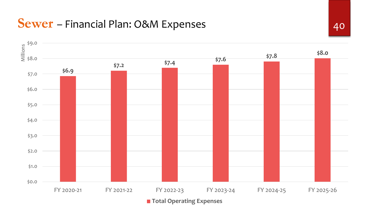#### **Sewer** – Financial Plan: O&M Expenses 40

![](_page_39_Figure_1.jpeg)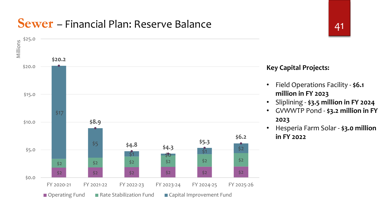#### **Sewer** – Financial Plan: Reserve Balance **1988**

![](_page_40_Figure_1.jpeg)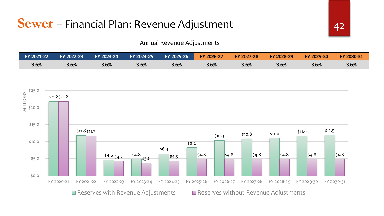#### Annual Revenue Adjustments

| FY 2021-22 | FY 2022-23 | FY 2023-24 | FY 2024-25 | FY 2025-26 | FY 2026-27 | FY 2027-28 | FY 2028-29 | FY 2029-30 | FY 2030-31 |
|------------|------------|------------|------------|------------|------------|------------|------------|------------|------------|
| 3.6%       | 3.6%       | 3.6%       | 3.6%       | 3.6%       | 3.6%       | 3.6%       | 3.6%       | 3.6%       | 3.6%       |

![](_page_41_Figure_3.jpeg)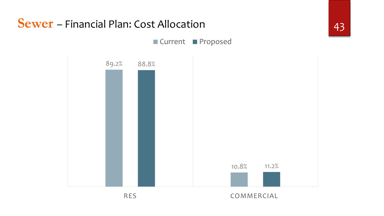![](_page_42_Figure_0.jpeg)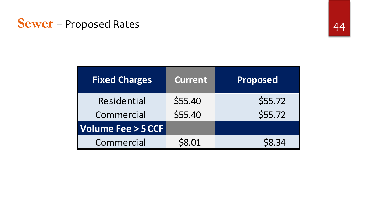#### **Sewer** – Proposed Rates 44

| <b>Fixed Charges</b>         | <b>Current</b> | <b>Proposed</b> |
|------------------------------|----------------|-----------------|
| Residential                  | \$55.40        | \$55.72         |
| Commercial                   | \$55.40        | \$55.72         |
| <b>Volume Fee &gt; 5 CCF</b> |                |                 |
| Commercial                   | \$8.01         | S8.34           |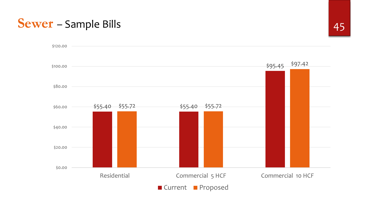#### **Sewer** – Sample Bills 45

![](_page_44_Figure_1.jpeg)